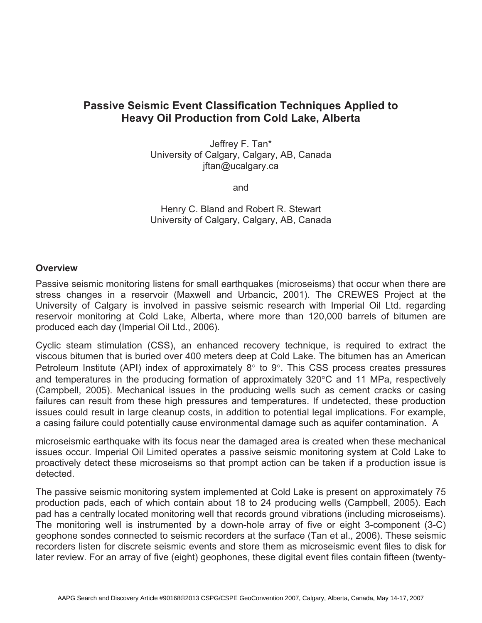# **Passive Seismic Event Classification Techniques Applied to Heavy Oil Production from Cold Lake, Alberta**

Jeffrey F. Tan\* University of Calgary, Calgary, AB, Canada jftan@ucalgary.ca

and

Henry C. Bland and Robert R. Stewart University of Calgary, Calgary, AB, Canada

#### **Overview**

Passive seismic monitoring listens for small earthquakes (microseisms) that occur when there are stress changes in a reservoir (Maxwell and Urbancic, 2001). The CREWES Project at the University of Calgary is involved in passive seismic research with Imperial Oil Ltd. regarding reservoir monitoring at Cold Lake, Alberta, where more than 120,000 barrels of bitumen are produced each day (Imperial Oil Ltd., 2006).

Cyclic steam stimulation (CSS), an enhanced recovery technique, is required to extract the viscous bitumen that is buried over 400 meters deep at Cold Lake. The bitumen has an American Petroleum Institute (API) index of approximately  $8^{\circ}$  to  $9^{\circ}$ . This CSS process creates pressures and temperatures in the producing formation of approximately 320°C and 11 MPa, respectively (Campbell, 2005). Mechanical issues in the producing wells such as cement cracks or casing failures can result from these high pressures and temperatures. If undetected, these production issues could result in large cleanup costs, in addition to potential legal implications. For example, a casing failure could potentially cause environmental damage such as aquifer contamination. A

microseismic earthquake with its focus near the damaged area is created when these mechanical issues occur. Imperial Oil Limited operates a passive seismic monitoring system at Cold Lake to proactively detect these microseisms so that prompt action can be taken if a production issue is detected.

The passive seismic monitoring system implemented at Cold Lake is present on approximately 75 production pads, each of which contain about 18 to 24 producing wells (Campbell, 2005). Each pad has a centrally located monitoring well that records ground vibrations (including microseisms). The monitoring well is instrumented by a down-hole array of five or eight 3-component (3-C) geophone sondes connected to seismic recorders at the surface (Tan et al., 2006). These seismic recorders listen for discrete seismic events and store them as microseismic event files to disk for later review. For an array of five (eight) geophones, these digital event files contain fifteen (twenty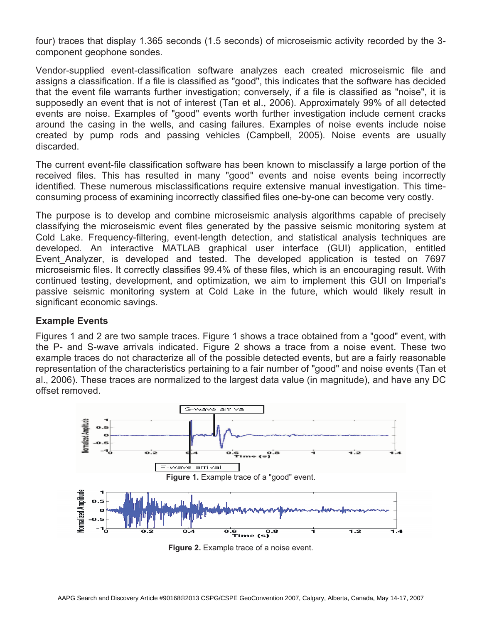four) traces that display 1.365 seconds (1.5 seconds) of microseismic activity recorded by the 3 component geophone sondes.

Vendor-supplied event-classification software analyzes each created microseismic file and assigns a classification. If a file is classified as "good", this indicates that the software has decided that the event file warrants further investigation; conversely, if a file is classified as "noise", it is supposedly an event that is not of interest (Tan et al., 2006). Approximately 99% of all detected events are noise. Examples of "good" events worth further investigation include cement cracks around the casing in the wells, and casing failures. Examples of noise events include noise created by pump rods and passing vehicles (Campbell, 2005). Noise events are usually discarded.

The current event-file classification software has been known to misclassify a large portion of the received files. This has resulted in many "good" events and noise events being incorrectly identified. These numerous misclassifications require extensive manual investigation. This timeconsuming process of examining incorrectly classified files one-by-one can become very costly.

The purpose is to develop and combine microseismic analysis algorithms capable of precisely classifying the microseismic event files generated by the passive seismic monitoring system at Cold Lake. Frequency-filtering, event-length detection, and statistical analysis techniques are developed. An interactive MATLAB graphical user interface (GUI) application, entitled Event\_Analyzer, is developed and tested. The developed application is tested on 7697 microseismic files. It correctly classifies 99.4% of these files, which is an encouraging result. With continued testing, development, and optimization, we aim to implement this GUI on Imperial's passive seismic monitoring system at Cold Lake in the future, which would likely result in significant economic savings.

# **Example Events**

Figures 1 and 2 are two sample traces. Figure 1 shows a trace obtained from a "good" event, with the P- and S-wave arrivals indicated. Figure 2 shows a trace from a noise event. These two example traces do not characterize all of the possible detected events, but are a fairly reasonable representation of the characteristics pertaining to a fair number of "good" and noise events (Tan et al., 2006). These traces are normalized to the largest data value (in magnitude), and have any DC offset removed.



**Figure 2.** Example trace of a noise event.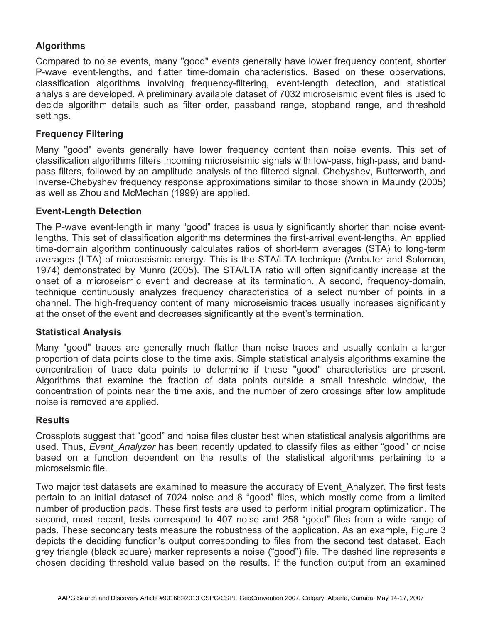# **Algorithms**

Compared to noise events, many "good" events generally have lower frequency content, shorter P-wave event-lengths, and flatter time-domain characteristics. Based on these observations, classification algorithms involving frequency-filtering, event-length detection, and statistical analysis are developed. A preliminary available dataset of 7032 microseismic event files is used to decide algorithm details such as filter order, passband range, stopband range, and threshold settings.

# **Frequency Filtering**

Many "good" events generally have lower frequency content than noise events. This set of classification algorithms filters incoming microseismic signals with low-pass, high-pass, and bandpass filters, followed by an amplitude analysis of the filtered signal. Chebyshev, Butterworth, and Inverse-Chebyshev frequency response approximations similar to those shown in Maundy (2005) as well as Zhou and McMechan (1999) are applied.

#### **Event-Length Detection**

The P-wave event-length in many "good" traces is usually significantly shorter than noise eventlengths. This set of classification algorithms determines the first-arrival event-lengths. An applied time-domain algorithm continuously calculates ratios of short-term averages (STA) to long-term averages (LTA) of microseismic energy. This is the STA/LTA technique (Ambuter and Solomon, 1974) demonstrated by Munro (2005). The STA/LTA ratio will often significantly increase at the onset of a microseismic event and decrease at its termination. A second, frequency-domain, technique continuously analyzes frequency characteristics of a select number of points in a channel. The high-frequency content of many microseismic traces usually increases significantly at the onset of the event and decreases significantly at the event's termination.

# **Statistical Analysis**

Many "good" traces are generally much flatter than noise traces and usually contain a larger proportion of data points close to the time axis. Simple statistical analysis algorithms examine the concentration of trace data points to determine if these "good" characteristics are present. Algorithms that examine the fraction of data points outside a small threshold window, the concentration of points near the time axis, and the number of zero crossings after low amplitude noise is removed are applied.

#### **Results**

Crossplots suggest that "good" and noise files cluster best when statistical analysis algorithms are used. Thus, *Event Analyzer* has been recently updated to classify files as either "good" or noise based on a function dependent on the results of the statistical algorithms pertaining to a microseismic file.

Two major test datasets are examined to measure the accuracy of Event\_Analyzer. The first tests pertain to an initial dataset of 7024 noise and 8 "good" files, which mostly come from a limited number of production pads. These first tests are used to perform initial program optimization. The second, most recent, tests correspond to 407 noise and 258 "good" files from a wide range of pads. These secondary tests measure the robustness of the application. As an example, Figure 3 depicts the deciding function's output corresponding to files from the second test dataset. Each grey triangle (black square) marker represents a noise ("good") file. The dashed line represents a chosen deciding threshold value based on the results. If the function output from an examined